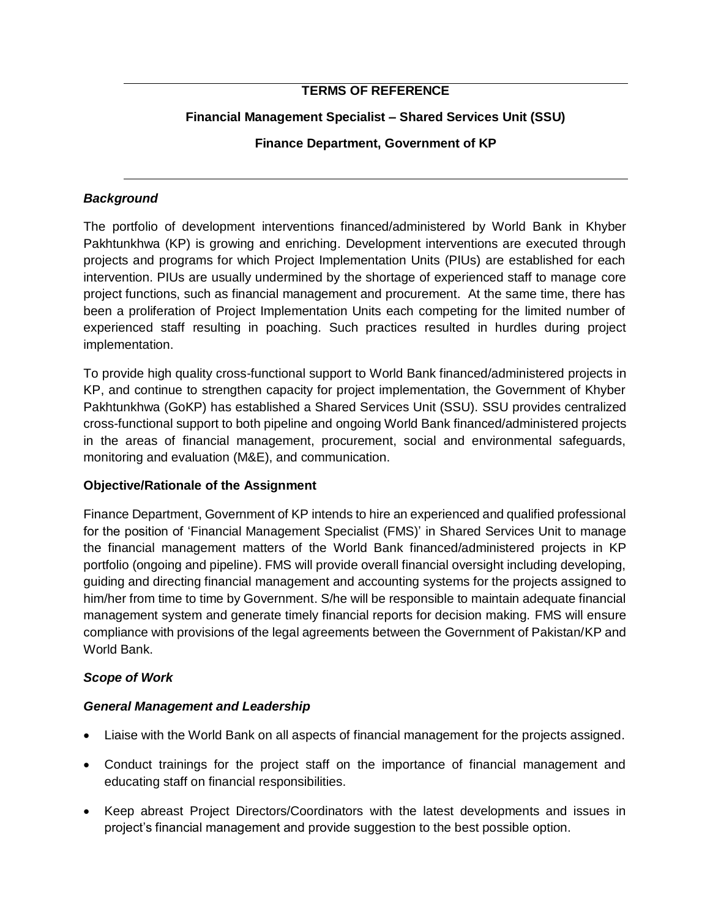## **TERMS OF REFERENCE**

## **Financial Management Specialist – Shared Services Unit (SSU)**

## **Finance Department, Government of KP**

### *Background*

The portfolio of development interventions financed/administered by World Bank in Khyber Pakhtunkhwa (KP) is growing and enriching. Development interventions are executed through projects and programs for which Project Implementation Units (PIUs) are established for each intervention. PIUs are usually undermined by the shortage of experienced staff to manage core project functions, such as financial management and procurement. At the same time, there has been a proliferation of Project Implementation Units each competing for the limited number of experienced staff resulting in poaching. Such practices resulted in hurdles during project implementation.

To provide high quality cross-functional support to World Bank financed/administered projects in KP, and continue to strengthen capacity for project implementation, the Government of Khyber Pakhtunkhwa (GoKP) has established a Shared Services Unit (SSU). SSU provides centralized cross-functional support to both pipeline and ongoing World Bank financed/administered projects in the areas of financial management, procurement, social and environmental safeguards, monitoring and evaluation (M&E), and communication.

### **Objective/Rationale of the Assignment**

Finance Department, Government of KP intends to hire an experienced and qualified professional for the position of 'Financial Management Specialist (FMS)' in Shared Services Unit to manage the financial management matters of the World Bank financed/administered projects in KP portfolio (ongoing and pipeline). FMS will provide overall financial oversight including developing, guiding and directing financial management and accounting systems for the projects assigned to him/her from time to time by Government. S/he will be responsible to maintain adequate financial management system and generate timely financial reports for decision making. FMS will ensure compliance with provisions of the legal agreements between the Government of Pakistan/KP and World Bank.

# *Scope of Work*

### *General Management and Leadership*

- Liaise with the World Bank on all aspects of financial management for the projects assigned.
- Conduct trainings for the project staff on the importance of financial management and educating staff on financial responsibilities.
- Keep abreast Project Directors/Coordinators with the latest developments and issues in project's financial management and provide suggestion to the best possible option.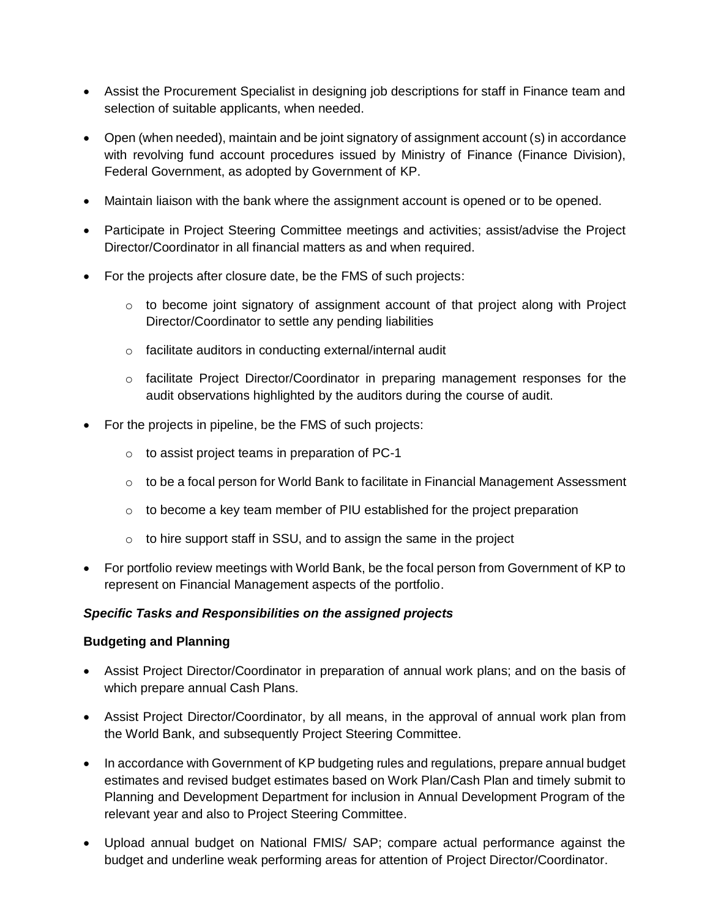- Assist the Procurement Specialist in designing job descriptions for staff in Finance team and selection of suitable applicants, when needed.
- Open (when needed), maintain and be joint signatory of assignment account (s) in accordance with revolving fund account procedures issued by Ministry of Finance (Finance Division), Federal Government, as adopted by Government of KP.
- Maintain liaison with the bank where the assignment account is opened or to be opened.
- Participate in Project Steering Committee meetings and activities; assist/advise the Project Director/Coordinator in all financial matters as and when required.
- For the projects after closure date, be the FMS of such projects:
	- o to become joint signatory of assignment account of that project along with Project Director/Coordinator to settle any pending liabilities
	- o facilitate auditors in conducting external/internal audit
	- $\circ$  facilitate Project Director/Coordinator in preparing management responses for the audit observations highlighted by the auditors during the course of audit.
- For the projects in pipeline, be the FMS of such projects:
	- o to assist project teams in preparation of PC-1
	- $\circ$  to be a focal person for World Bank to facilitate in Financial Management Assessment
	- $\circ$  to become a key team member of PIU established for the project preparation
	- $\circ$  to hire support staff in SSU, and to assign the same in the project
- For portfolio review meetings with World Bank, be the focal person from Government of KP to represent on Financial Management aspects of the portfolio.

### *Specific Tasks and Responsibilities on the assigned projects*

### **Budgeting and Planning**

- Assist Project Director/Coordinator in preparation of annual work plans; and on the basis of which prepare annual Cash Plans.
- Assist Project Director/Coordinator, by all means, in the approval of annual work plan from the World Bank, and subsequently Project Steering Committee.
- In accordance with Government of KP budgeting rules and regulations, prepare annual budget estimates and revised budget estimates based on Work Plan/Cash Plan and timely submit to Planning and Development Department for inclusion in Annual Development Program of the relevant year and also to Project Steering Committee.
- Upload annual budget on National FMIS/ SAP; compare actual performance against the budget and underline weak performing areas for attention of Project Director/Coordinator.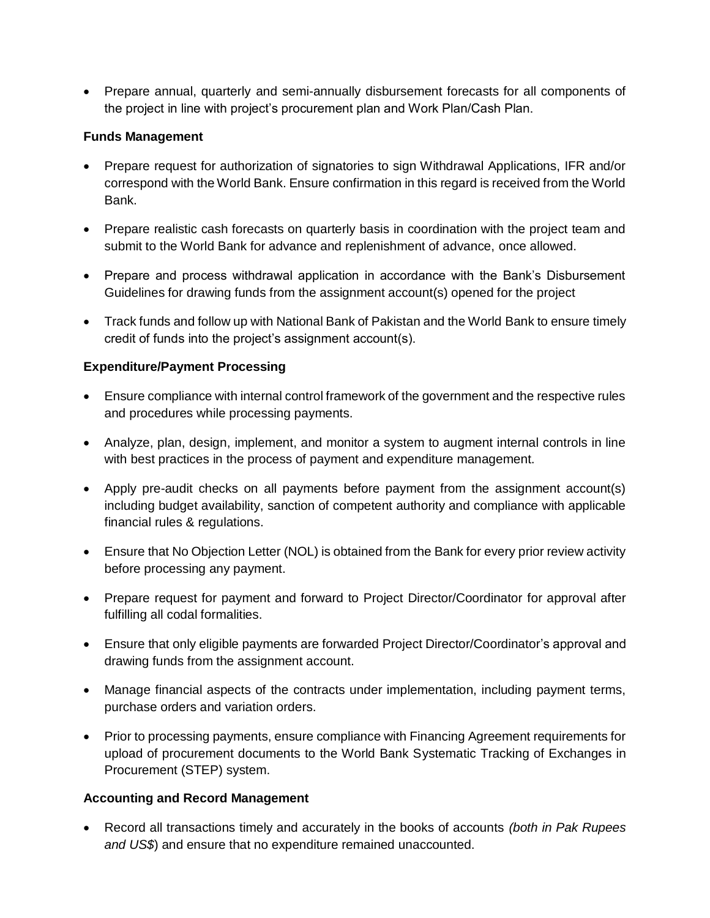Prepare annual, quarterly and semi-annually disbursement forecasts for all components of the project in line with project's procurement plan and Work Plan/Cash Plan.

## **Funds Management**

- Prepare request for authorization of signatories to sign Withdrawal Applications, IFR and/or correspond with the World Bank. Ensure confirmation in this regard is received from the World Bank.
- Prepare realistic cash forecasts on quarterly basis in coordination with the project team and submit to the World Bank for advance and replenishment of advance, once allowed.
- Prepare and process withdrawal application in accordance with the Bank's Disbursement Guidelines for drawing funds from the assignment account(s) opened for the project
- Track funds and follow up with National Bank of Pakistan and the World Bank to ensure timely credit of funds into the project's assignment account(s).

# **Expenditure/Payment Processing**

- Ensure compliance with internal control framework of the government and the respective rules and procedures while processing payments.
- Analyze, plan, design, implement, and monitor a system to augment internal controls in line with best practices in the process of payment and expenditure management.
- Apply pre-audit checks on all payments before payment from the assignment account(s) including budget availability, sanction of competent authority and compliance with applicable financial rules & regulations.
- Ensure that No Objection Letter (NOL) is obtained from the Bank for every prior review activity before processing any payment.
- Prepare request for payment and forward to Project Director/Coordinator for approval after fulfilling all codal formalities.
- Ensure that only eligible payments are forwarded Project Director/Coordinator's approval and drawing funds from the assignment account.
- Manage financial aspects of the contracts under implementation, including payment terms, purchase orders and variation orders.
- Prior to processing payments, ensure compliance with Financing Agreement requirements for upload of procurement documents to the World Bank Systematic Tracking of Exchanges in Procurement (STEP) system.

# **Accounting and Record Management**

 Record all transactions timely and accurately in the books of accounts *(both in Pak Rupees and US\$*) and ensure that no expenditure remained unaccounted.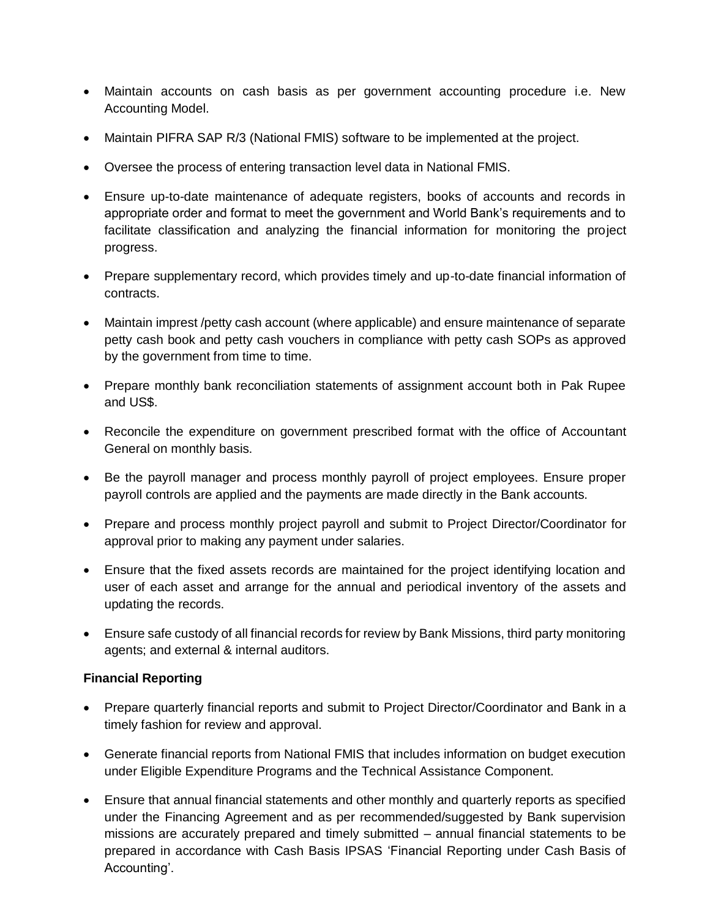- Maintain accounts on cash basis as per government accounting procedure i.e. New Accounting Model.
- Maintain PIFRA SAP R/3 (National FMIS) software to be implemented at the project.
- Oversee the process of entering transaction level data in National FMIS.
- Ensure up-to-date maintenance of adequate registers, books of accounts and records in appropriate order and format to meet the government and World Bank's requirements and to facilitate classification and analyzing the financial information for monitoring the project progress.
- Prepare supplementary record, which provides timely and up-to-date financial information of contracts.
- Maintain imprest /petty cash account (where applicable) and ensure maintenance of separate petty cash book and petty cash vouchers in compliance with petty cash SOPs as approved by the government from time to time.
- Prepare monthly bank reconciliation statements of assignment account both in Pak Rupee and US\$.
- Reconcile the expenditure on government prescribed format with the office of Accountant General on monthly basis.
- Be the payroll manager and process monthly payroll of project employees. Ensure proper payroll controls are applied and the payments are made directly in the Bank accounts.
- Prepare and process monthly project payroll and submit to Project Director/Coordinator for approval prior to making any payment under salaries.
- Ensure that the fixed assets records are maintained for the project identifying location and user of each asset and arrange for the annual and periodical inventory of the assets and updating the records.
- Ensure safe custody of all financial records for review by Bank Missions, third party monitoring agents; and external & internal auditors.

# **Financial Reporting**

- Prepare quarterly financial reports and submit to Project Director/Coordinator and Bank in a timely fashion for review and approval.
- Generate financial reports from National FMIS that includes information on budget execution under Eligible Expenditure Programs and the Technical Assistance Component.
- Ensure that annual financial statements and other monthly and quarterly reports as specified under the Financing Agreement and as per recommended/suggested by Bank supervision missions are accurately prepared and timely submitted – annual financial statements to be prepared in accordance with Cash Basis IPSAS 'Financial Reporting under Cash Basis of Accounting'.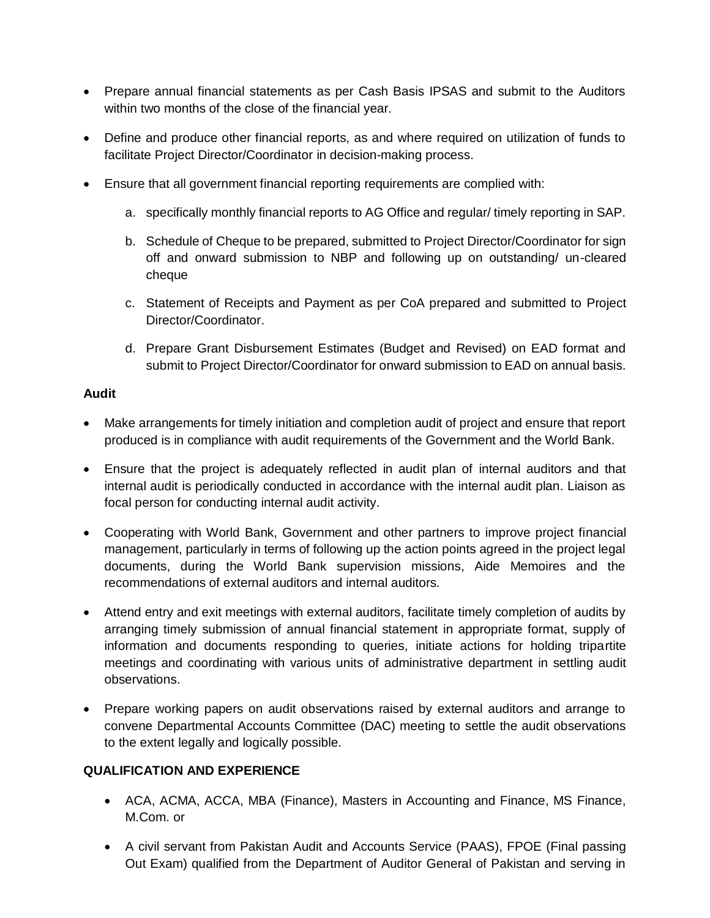- Prepare annual financial statements as per Cash Basis IPSAS and submit to the Auditors within two months of the close of the financial year.
- Define and produce other financial reports, as and where required on utilization of funds to facilitate Project Director/Coordinator in decision-making process.
- Ensure that all government financial reporting requirements are complied with:
	- a. specifically monthly financial reports to AG Office and regular/ timely reporting in SAP.
	- b. Schedule of Cheque to be prepared, submitted to Project Director/Coordinator for sign off and onward submission to NBP and following up on outstanding/ un-cleared cheque
	- c. Statement of Receipts and Payment as per CoA prepared and submitted to Project Director/Coordinator.
	- d. Prepare Grant Disbursement Estimates (Budget and Revised) on EAD format and submit to Project Director/Coordinator for onward submission to EAD on annual basis.

## **Audit**

- Make arrangements for timely initiation and completion audit of project and ensure that report produced is in compliance with audit requirements of the Government and the World Bank.
- Ensure that the project is adequately reflected in audit plan of internal auditors and that internal audit is periodically conducted in accordance with the internal audit plan. Liaison as focal person for conducting internal audit activity.
- Cooperating with World Bank, Government and other partners to improve project financial management, particularly in terms of following up the action points agreed in the project legal documents, during the World Bank supervision missions, Aide Memoires and the recommendations of external auditors and internal auditors.
- Attend entry and exit meetings with external auditors, facilitate timely completion of audits by arranging timely submission of annual financial statement in appropriate format, supply of information and documents responding to queries, initiate actions for holding tripartite meetings and coordinating with various units of administrative department in settling audit observations.
- Prepare working papers on audit observations raised by external auditors and arrange to convene Departmental Accounts Committee (DAC) meeting to settle the audit observations to the extent legally and logically possible.

# **QUALIFICATION AND EXPERIENCE**

- ACA, ACMA, ACCA, MBA (Finance), Masters in Accounting and Finance, MS Finance, M.Com. or
- A civil servant from Pakistan Audit and Accounts Service (PAAS), FPOE (Final passing Out Exam) qualified from the Department of Auditor General of Pakistan and serving in